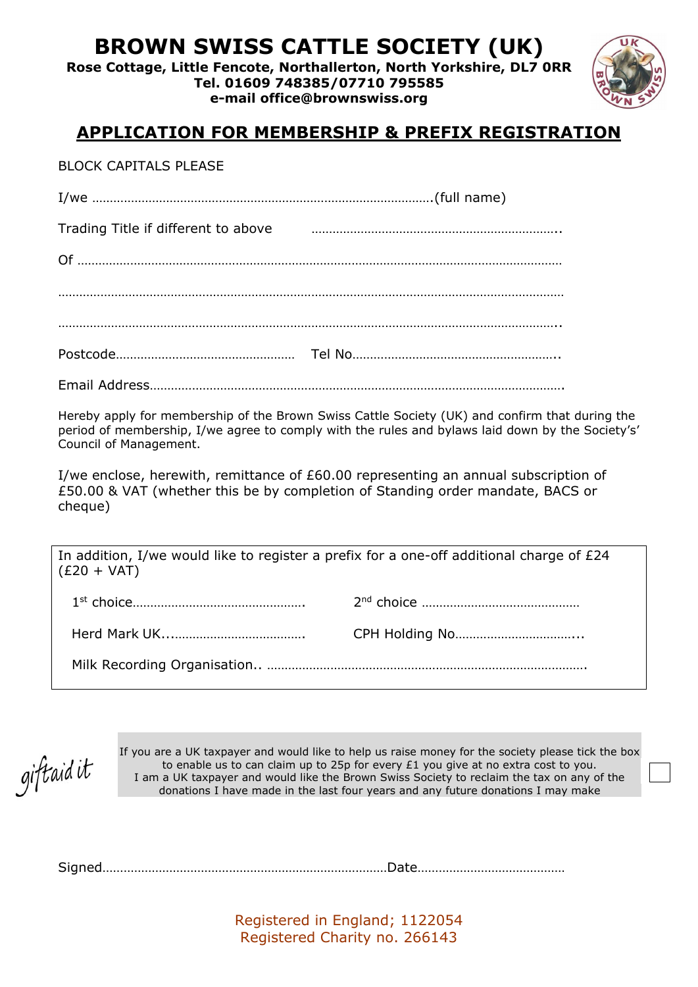# **BROWN SWISS CATTLE SOCIETY (UK)**

**Rose Cottage, Little Fencote, Northallerton, North Yorkshire, DL7 0RR Tel. 01609 748385/07710 795585** 

**e-mail office@brownswiss.org** 



#### **APPLICATION FOR MEMBERSHIP & PREFIX REGISTRATION**

BLOCK CAPITALS PLEASE

| Trading Title if different to above |  |
|-------------------------------------|--|
|                                     |  |
|                                     |  |
|                                     |  |
|                                     |  |

Email Address……………………………………………………………………………………………………….

Hereby apply for membership of the Brown Swiss Cattle Society (UK) and confirm that during the period of membership, I/we agree to comply with the rules and bylaws laid down by the Society's' Council of Management.

I/we enclose, herewith, remittance of £60.00 representing an annual subscription of £50.00 & VAT (whether this be by completion of Standing order mandate, BACS or cheque)

In addition, I/we would like to register a prefix for a one-off additional charge of £24  $(E20 + VAT)$ 

giftaid it

If you are a UK taxpayer and would like to help us raise money for the society please tick the box to enable us to can claim up to 25p for every £1 you give at no extra cost to you. I am a UK taxpayer and would like the Brown Swiss Society to reclaim the tax on any of the donations I have made in the last four years and any future donations I may make

Signed………………………………………………………………………Date……………………………………

Registered in England; 1122054 Registered Charity no. 266143